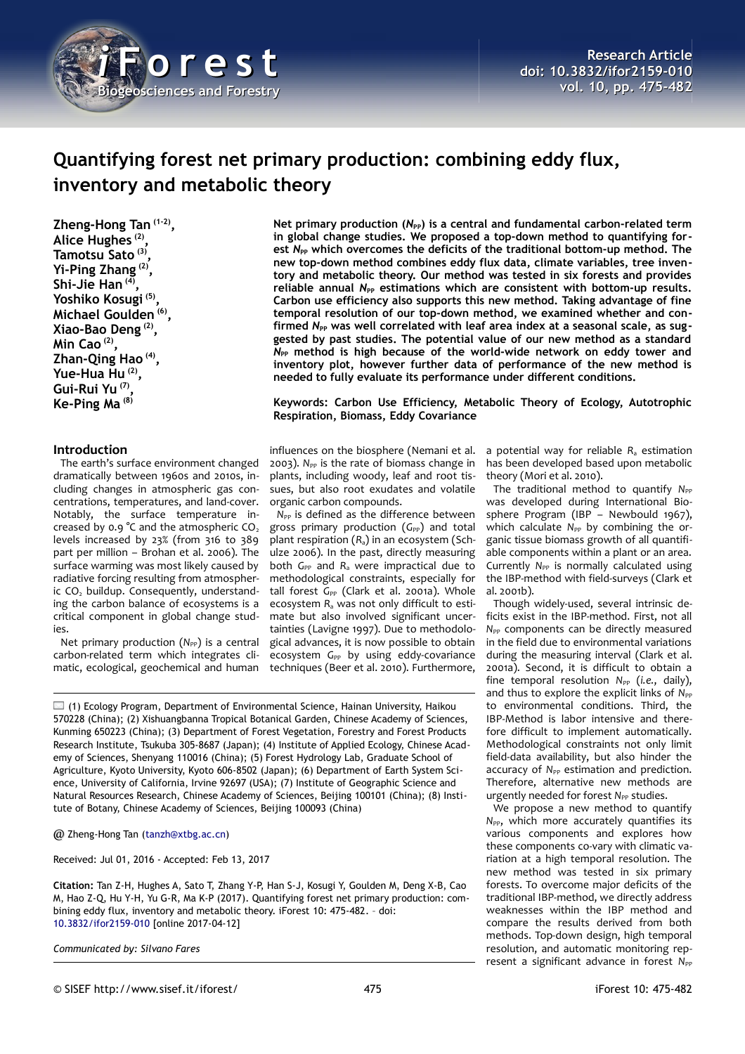

# **Quantifying forest net primary production: combining eddy flux, inventory and metabolic theory**

**Zheng-Hong Tan (1-2) , Alice Hughes (2) , Tamotsu Sato (3) , Yi-Ping Zhang (2) , Shi-Jie Han (4) , Yoshiko Kosugi (5) , Michael Goulden (6) , Xiao-Bao Deng (2) , Min Cao (2) , Zhan-Qing Hao (4) , Yue-Hua Hu (2) , Gui-Rui Yu (7) , Ke-Ping Ma (8)**

## **Introduction**

The earth's surface environment changed dramatically between 1960s and 2010s, including changes in atmospheric gas concentrations, temperatures, and land-cover. Notably, the surface temperature increased by  $0.9$  °C and the atmospheric CO<sub>2</sub> levels increased by 23% (from 316 to 389 part per million – Brohan et al. 2006). The surface warming was most likely caused by radiative forcing resulting from atmospheric CO<sub>2</sub> buildup. Consequently, understanding the carbon balance of ecosystems is a critical component in global change studies.

Net primary production (N<sub>PP</sub>) is a central carbon-related term which integrates climatic, ecological, geochemical and human Net primary production (N<sub>PP</sub>) is a central and fundamental carbon-related term **in global change studies. We proposed a top-down method to quantifying for**est  $N_{PP}$  which overcomes the deficits of the traditional bottom-up method. The **new top-down method combines eddy flux data, climate variables, tree inventory and metabolic theory. Our method was tested in six forests and provides** reliable annual  $N_{PP}$  estimations which are consistent with bottom-up results. **Carbon use efficiency also supports this new method. Taking advantage of fine temporal resolution of our top-down method, we examined whether and con**firmed N<sub>PP</sub> was well correlated with leaf area index at a seasonal scale, as sug**gested by past studies. The potential value of our new method as a standard** *N***PP method is high because of the world-wide network on eddy tower and inventory plot, however further data of performance of the new method is needed to fully evaluate its performance under different conditions.**

## **Keywords: Carbon Use Efficiency, Metabolic Theory of Ecology, Autotrophic Respiration, Biomass, Eddy Covariance**

influences on the biosphere (Nemani et al. 2003). N<sub>PP</sub> is the rate of biomass change in plants, including woody, leaf and root tissues, but also root exudates and volatile organic carbon compounds.

 $N_{PP}$  is defined as the difference between gross primary production (G<sub>PP</sub>) and total plant respiration (*R*a) in an ecosystem (Schulze 2006). In the past, directly measuring both G<sub>PP</sub> and R<sub>a</sub> were impractical due to methodological constraints, especially for tall forest G<sub>PP</sub> (Clark et al. 2001a). Whole ecosystem *R*a was not only difficult to estimate but also involved significant uncertainties (Lavigne 1997). Due to methodological advances, it is now possible to obtain ecosystem G<sub>PP</sub> by using eddy-covariance techniques (Beer et al. 2010). Furthermore,

 $\Box$  (1) Ecology Program, Department of Environmental Science, Hainan University, Haikou 570228 (China); (2) Xishuangbanna Tropical Botanical Garden, Chinese Academy of Sciences, Kunming 650223 (China); (3) Department of Forest Vegetation, Forestry and Forest Products Research Institute, Tsukuba 305-8687 (Japan); (4) Institute of Applied Ecology, Chinese Academy of Sciences, Shenyang 110016 (China); (5) Forest Hydrology Lab, Graduate School of Agriculture, Kyoto University, Kyoto 606-8502 (Japan); (6) Department of Earth System Science, University of California, Irvine 92697 (USA); (7) Institute of Geographic Science and Natural Resources Research, Chinese Academy of Sciences, Beijing 100101 (China); (8) Institute of Botany, Chinese Academy of Sciences, Beijing 100093 (China)

@ Zheng-Hong Tan [\(tanzh@xtbg.ac.cn\)](mailto:tanzh@xtbg.ac.cn)

Received: Jul 01, 2016 - Accepted: Feb 13, 2017

**Citation:** Tan Z-H, Hughes A, Sato T, Zhang Y-P, Han S-J, Kosugi Y, Goulden M, Deng X-B, Cao M, Hao Z-Q, Hu Y-H, Yu G-R, Ma K-P (2017). Quantifying forest net primary production: combining eddy flux, inventory and metabolic theory. iForest 10: 475-482. – doi[:](http://www.sisef.it/iforest/contents/?id=ifor2159-010) [10.3832/ifor2159-010](http://www.sisef.it/iforest/contents/?id=ifor2159-010) [online 2017-04-12]

*Communicated by: Silvano Fares*

a potential way for reliable *R*a estimation has been developed based upon metabolic theory (Mori et al. 2010).

The traditional method to quantify *N*<sub>PP</sub> was developed during International Biosphere Program (IBP – Newbould 1967), which calculate *N*<sub>PP</sub> by combining the organic tissue biomass growth of all quantifiable components within a plant or an area. Currently *N*<sub>PP</sub> is normally calculated using the IBP-method with field-surveys (Clark et al. 2001b).

Though widely-used, several intrinsic deficits exist in the IBP-method. First, not all *N*<sub>PP</sub> components can be directly measured in the field due to environmental variations during the measuring interval (Clark et al. 2001a). Second, it is difficult to obtain a fine temporal resolution *N<sub>PP</sub>* (*i.e.*, daily), and thus to explore the explicit links of N<sub>PP</sub> to environmental conditions. Third, the IBP-Method is labor intensive and therefore difficult to implement automatically. Methodological constraints not only limit field-data availability, but also hinder the accuracy of N<sub>PP</sub> estimation and prediction. Therefore, alternative new methods are urgently needed for forest *N*<sub>PP</sub> studies.

We propose a new method to quantify  $N_{PP}$ , which more accurately quantifies its various components and explores how these components co-vary with climatic variation at a high temporal resolution. The new method was tested in six primary forests. To overcome major deficits of the traditional IBP-method, we directly address weaknesses within the IBP method and compare the results derived from both methods. Top-down design, high temporal resolution, and automatic monitoring represent a significant advance in forest N<sub>PP</sub>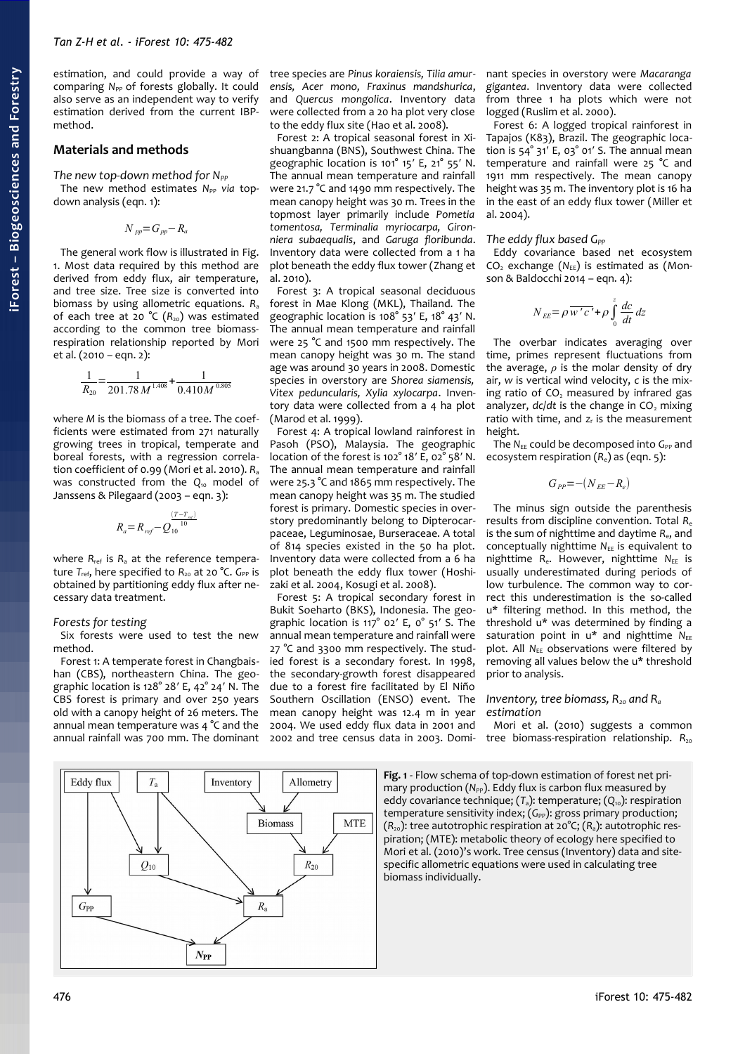estimation, and could provide a way of comparing *N<sub>PP</sub>* of forests globally. It could also serve as an independent way to verify estimation derived from the current IBPmethod.

# **Materials and methods**

*The new top-down method for N<sub>PP</sub>* The new method estimates *N*<sub>PP</sub> via topdown analysis (eqn. 1):

$$
N_{pp} = G_{pp} - R_a
$$

The general work flow is illustrated in [Fig.](#page-1-0) [1.](#page-1-0) Most data required by this method are derived from eddy flux, air temperature, and tree size. Tree size is converted into biomass by using allometric equations. *R*<sup>a</sup> of each tree at 20 °C (R<sub>20</sub>) was estimated according to the common tree biomassrespiration relationship reported by Mori et al. (2010 – eqn. 2):

$$
\frac{1}{R_{20}} = \frac{1}{201.78 M^{1.408}} + \frac{1}{0.410 M^{0.805}}
$$

where *M* is the biomass of a tree. The coefficients were estimated from 271 naturally growing trees in tropical, temperate and boreal forests, with a regression correlation coefficient of 0.99 (Mori et al. 2010). *R*<sup>a</sup> was constructed from the Q<sub>10</sub> model of Janssens & Pilegaard (2003 – eqn. 3):

$$
R_a = R_{ref} - Q_{10}^{\frac{(T-T_{ref})}{10}}
$$

where *R*<sub>ref</sub> is *R*<sub>a</sub> at the reference temperature  $T_{\text{ref}}$ , here specified to  $R_{20}$  at 20 °C.  $G_{PP}$  is obtained by partitioning eddy flux after necessary data treatment.

## *Forests for testing*

Six forests were used to test the new method.

Forest 1: A temperate forest in Changbaishan (CBS), northeastern China. The geographic location is 128° 28′ E, 42° 24′ N. The CBS forest is primary and over 250 years old with a canopy height of 26 meters. The annual mean temperature was 4 °C and the annual rainfall was 700 mm. The dominant

tree species are *Pinus koraiensis, Tilia amurensis, Acer mono, Fraxinus mandshurica*, and *Quercus mongolica*. Inventory data were collected from a 20 ha plot very close to the eddy flux site (Hao et al. 2008).

Forest 2: A tropical seasonal forest in Xishuangbanna (BNS), Southwest China. The geographic location is 101° 15′ E, 21° 55′ N. The annual mean temperature and rainfall were 21.7 °C and 1490 mm respectively. The mean canopy height was 30 m. Trees in the topmost layer primarily include *Pometia tomentosa, Terminalia myriocarpa, Gironniera subaequalis*, and *Garuga floribunda*. Inventory data were collected from a 1 ha plot beneath the eddy flux tower (Zhang et al. 2010).

Forest 3: A tropical seasonal deciduous forest in Mae Klong (MKL), Thailand. The geographic location is 108° 53′ E, 18° 43′ N. The annual mean temperature and rainfall were 25 °C and 1500 mm respectively. The mean canopy height was 30 m. The stand age was around 30 years in 2008. Domestic species in overstory are *Shorea siamensis, Vitex peduncularis, Xylia xylocarpa*. Inventory data were collected from a 4 ha plot (Marod et al. 1999).

Forest 4: A tropical lowland rainforest in Pasoh (PSO), Malaysia. The geographic location of the forest is 102° 18′ E, 02° 58′ N. The annual mean temperature and rainfall were 25.3 °C and 1865 mm respectively. The mean canopy height was 35 m. The studied forest is primary. Domestic species in overstory predominantly belong to Dipterocarpaceae, Leguminosae, Burseraceae. A total of 814 species existed in the 50 ha plot. Inventory data were collected from a 6 ha plot beneath the eddy flux tower (Hoshizaki et al. 2004, Kosugi et al. 2008).

Forest 5: A tropical secondary forest in Bukit Soeharto (BKS), Indonesia. The geographic location is 117° 02′ E, 0° 51′ S. The annual mean temperature and rainfall were 27 °C and 3300 mm respectively. The studied forest is a secondary forest. In 1998, the secondary-growth forest disappeared due to a forest fire facilitated by El Niño Southern Oscillation (ENSO) event. The mean canopy height was 12.4 m in year 2004. We used eddy flux data in 2001 and 2002 and tree census data in 2003. Dominant species in overstory were *Macaranga gigantea*. Inventory data were collected from three 1 ha plots which were not logged (Ruslim et al. 2000).

Forest 6: A logged tropical rainforest in Tapajos (K83), Brazil. The geographic location is  $54^\circ$  31' E,  $03^\circ$  01' S. The annual mean temperature and rainfall were 25 °C and 1911 mm respectively. The mean canopy height was 35 m. The inventory plot is 16 ha in the east of an eddy flux tower (Miller et al. 2004).

## *The eddy flux based G<sub>PP</sub>*

Eddy covariance based net ecosystem CO<sub>2</sub> exchange (N<sub>EE</sub>) is estimated as (Monson & Baldocchi 2014 – eqn. 4):

$$
N_{EE} = \rho \overline{w'c'} + \rho \int_0^z \frac{dc}{dt} dz
$$

The overbar indicates averaging over time, primes represent fluctuations from the average,  $\rho$  is the molar density of dry air, *w* is vertical wind velocity, *c* is the mixing ratio of CO<sub>2</sub> measured by infrared gas analyzer, *dc/dt* is the change in CO<sub>2</sub> mixing ratio with time, and z<sub>r</sub> is the measurement height.

The N<sub>EE</sub> could be decomposed into G<sub>PP</sub> and ecosystem respiration (*R*e) as (eqn. 5):

$$
G_{PP} = -(N_{EE} - R_e)
$$

The minus sign outside the parenthesis results from discipline convention. Total *R*<sup>e</sup> is the sum of nighttime and daytime R<sub>e</sub>, and conceptually nighttime *N*<sub>EE</sub> is equivalent to nighttime R<sub>e</sub>. However, nighttime N<sub>EE</sub> is usually underestimated during periods of low turbulence. The common way to correct this underestimation is the so-called u\* filtering method. In this method, the threshold u\* was determined by finding a saturation point in  $u^*$  and nighttime  $N_{EE}$ plot. All *N<sub>EE</sub>* observations were filtered by removing all values below the u\* threshold prior to analysis.

### *Inventory, tree biomass, R20 and R<sup>a</sup> estimation*

Mori et al. (2010) suggests a common tree biomass-respiration relationship. R<sub>20</sub>

<span id="page-1-0"></span>**Fig. 1** - Flow schema of top-down estimation of forest net primary production (N<sub>PP</sub>). Eddy flux is carbon flux measured by eddy covariance technique; (*T*a): temperature; (*Q*10): respiration temperature sensitivity index; (G<sub>PP</sub>): gross primary production;  $(R<sub>20</sub>)$ : tree autotrophic respiration at 20°C;  $(R<sub>a</sub>)$ : autotrophic respiration; (MTE): metabolic theory of ecology here specified to Mori et al. (2010)'s work. Tree census (Inventory) data and sitespecific allometric equations were used in calculating tree biomass individually.

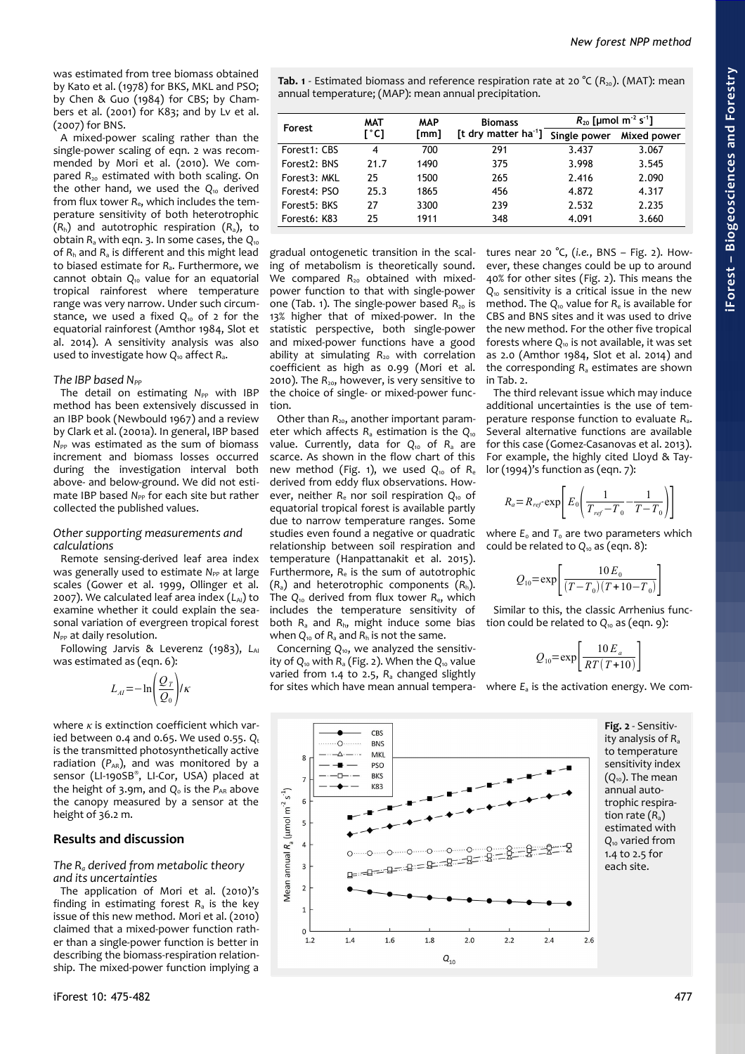was estimated from tree biomass obtained by Kato et al. (1978) for BKS, MKL and PSO; by Chen & Guo (1984) for CBS; by Chambers et al. (2001) for K83; and by Lv et al. (2007) for BNS.

A mixed-power scaling rather than the single-power scaling of eqn. 2 was recommended by Mori et al. (2010). We compared R<sub>20</sub> estimated with both scaling. On the other hand, we used the Q<sub>10</sub> derived from flux tower *R*e, which includes the temperature sensitivity of both heterotrophic (*R*h) and autotrophic respiration (*R*a), to obtain *R*a with eqn. 3. In some cases, the *Q*<sup>10</sup> of *R*h and *R*a is different and this might lead to biased estimate for *R*a. Furthermore, we cannot obtain *Q*10 value for an equatorial tropical rainforest where temperature range was very narrow. Under such circumstance, we used a fixed Q<sub>10</sub> of 2 for the equatorial rainforest (Amthor 1984, Slot et al. 2014). A sensitivity analysis was also used to investigate how  $Q_{10}$  affect  $R_{a}$ .

## *The IBP based NPP*

The detail on estimating *N*<sub>PP</sub> with IBP method has been extensively discussed in an IBP book (Newbould 1967) and a review by Clark et al. (2001a). In general, IBP based *N*<sub>PP</sub> was estimated as the sum of biomass increment and biomass losses occurred during the investigation interval both above- and below-ground. We did not estimate IBP based N<sub>PP</sub> for each site but rather collected the published values.

## *Other supporting measurements and calculations*

Remote sensing-derived leaf area index was generally used to estimate *N*<sub>PP</sub> at large scales (Gower et al. 1999, Ollinger et al. 2007). We calculated leaf area index (LAI) to examine whether it could explain the seasonal variation of evergreen tropical forest *N*<sub>PP</sub> at daily resolution.

Following Jarvis & Leverenz (1983), LAI was estimated as (eqn. 6):

$$
L_{AI} = -\ln\left(\frac{Q_T}{Q_0}\right) / \kappa
$$

where *κ* is extinction coefficient which varied between 0.4 and 0.65. We used 0.55.  $Q_t$ is the transmitted photosynthetically active radiation  $(P_{AR})$ , and was monitored by a sensor (LI-190SB®, LI-Cor, USA) placed at the height of 3.9m, and  $Q_0$  is the  $P_{AR}$  above the canopy measured by a sensor at the height of 36.2 m.

## **Results and discussion**

## *The Ra derived from metabolic theory and its uncertainties*

The application of Mori et al. (2010)'s finding in estimating forest R<sub>a</sub> is the key issue of this new method. Mori et al. (2010) claimed that a mixed-power function rather than a single-power function is better in describing the biomass-respiration relationship. The mixed-power function implying a

<span id="page-2-1"></span>**Tab. 1** - Estimated biomass and reference respiration rate at 20 °C ( $R_{20}$ ). (MAT): mean annual temperature; (MAP): mean annual precipitation.

| <b>Forest</b>             | MAT<br>[°C] | <b>MAP</b><br>[mm] | <b>Biomass</b>                   | $R_{20}$ [µmol m <sup>-2</sup> s <sup>-1</sup> ] |             |
|---------------------------|-------------|--------------------|----------------------------------|--------------------------------------------------|-------------|
|                           |             |                    | It dry matter ha <sup>-1</sup> ] | Single power                                     | Mixed power |
| Forest1: CBS              | 4           | 700                | 291                              | 3.437                                            | 3.067       |
| Forest <sub>2</sub> : BNS | 21.7        | 1490               | 375                              | 3.998                                            | 3.545       |
| Forest 3: MKI             | 25          | 1500               | 265                              | 2.416                                            | 2.090       |
| Forest4: PSO              | 25.3        | 1865               | 456                              | 4.872                                            | 4.317       |
| Forest5: BKS              | 27          | 3300               | 239                              | 2.532                                            | 2.235       |
| Forest6: K83              | 25          | 1911               | 348                              | 4.091                                            | 3.660       |

gradual ontogenetic transition in the scaling of metabolism is theoretically sound. We compared R<sub>20</sub> obtained with mixedpower function to that with single-power one [\(Tab. 1\)](#page-2-1). The single-power based R<sub>20</sub> is 13% higher that of mixed-power. In the statistic perspective, both single-power and mixed-power functions have a good ability at simulating R<sub>20</sub> with correlation coefficient as high as 0.99 (Mori et al. 2010). The R<sub>20</sub>, however, is very sensitive to the choice of single- or mixed-power function.

Other than  $R_{20}$ , another important parameter which affects *R*a estimation is the *Q*<sup>10</sup> value. Currently, data for Q<sub>10</sub> of R<sub>a</sub> are scarce. As shown in the flow chart of this new method [\(Fig. 1\)](#page-1-0), we used  $Q_{10}$  of  $R_e$ derived from eddy flux observations. However, neither *R*e nor soil respiration *Q*10 of equatorial tropical forest is available partly due to narrow temperature ranges. Some studies even found a negative or quadratic relationship between soil respiration and temperature (Hanpattanakit et al. 2015). Furthermore,  $R_e$  is the sum of autotrophic (*R*a) and heterotrophic components (*R*h). The *Q*<sub>10</sub> derived from flux tower *R*<sub>2</sub>, which includes the temperature sensitivity of both *R*a and *R*h, might induce some bias when  $Q_{10}$  of  $R_a$  and  $R_h$  is not the same.

Concerning *Q*10, we analyzed the sensitivity of *Q*10 with *R*a [\(Fig. 2\)](#page-2-0). When the *Q*10 value varied from 1.4 to 2.5, R<sub>a</sub> changed slightly for sites which have mean annual tempera-

tures near 20 °C, (*i.e.*, BNS – [Fig. 2\)](#page-2-0). However, these changes could be up to around 40% for other sites [\(Fig. 2\)](#page-2-0). This means the *Q*10 sensitivity is a critical issue in the new method. The *Q*10 value for *R*e is available for CBS and BNS sites and it was used to drive the new method. For the other five tropical forests where  $Q_{10}$  is not available, it was set as 2.0 (Amthor 1984, Slot et al. 2014) and the corresponding *R*a estimates are shown in [Tab. 2.](#page-3-0)

The third relevant issue which may induce additional uncertainties is the use of temperature response function to evaluate *R*a. Several alternative functions are available for this case (Gomez-Casanovas et al. 2013). For example, the highly cited Lloyd & Taylor (1994)'s function as (eqn. 7):

$$
R_a = R_{ref} \cdot \exp\left[E_0 \left(\frac{1}{T_{ref} - T_0} - \frac{1}{T - T_0}\right)\right]
$$

where  $E_0$  and  $T_0$  are two parameters which could be related to  $Q_{10}$  as (eqn. 8):

$$
Q_{10}\text{=}\exp\left[\frac{10\,E_{0}}{(T-T_{0})(T+10-T_{0})}\right]
$$

Similar to this, the classic Arrhenius function could be related to  $Q_{10}$  as (eqn. 9):

<span id="page-2-0"></span>
$$
Q_{10} = \exp\left[\frac{10 E_a}{RT(T+10)}\right]
$$

where *E*a is the activation energy. We com-

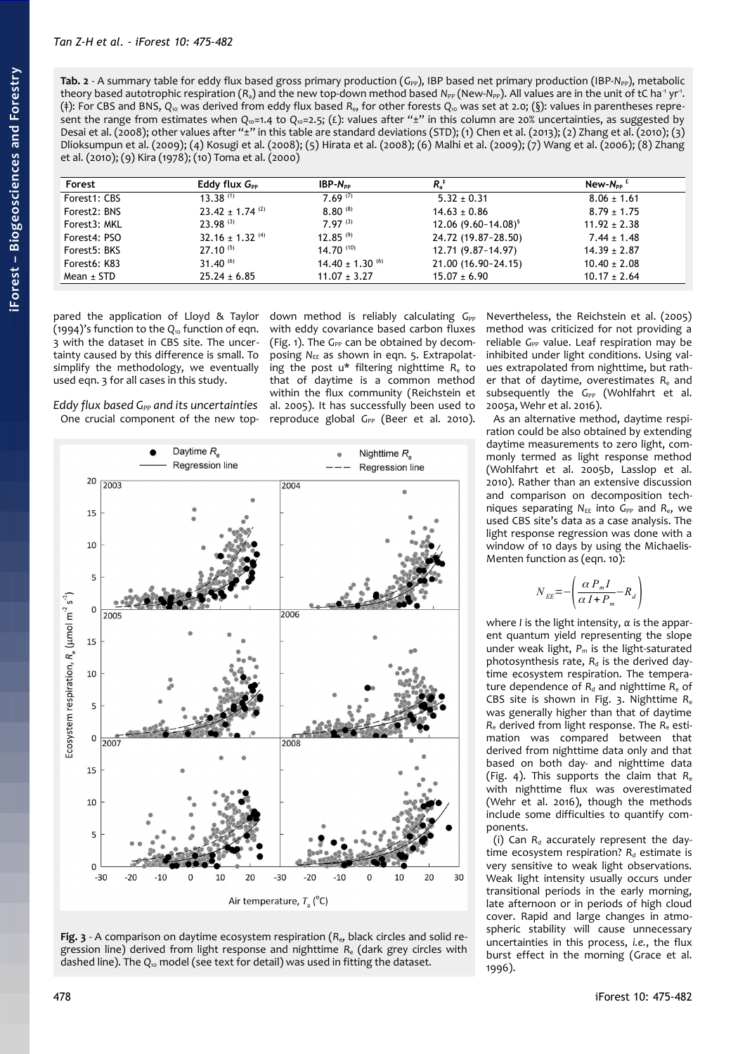# *Tan Z-H et al. - iForest 10: 475-482*

<span id="page-3-0"></span>Tab. 2 - A summary table for eddy flux based gross primary production (G<sub>PP</sub>), IBP based net primary production (IBP-N<sub>PP</sub>), metabolic theory based autotrophic respiration (R<sub>a</sub>) and the new top-down method based N<sub>PP</sub> (New-N<sub>PP</sub>). All values are in the unit of tC ha<sup>-1</sup> yr<sup>-1</sup>. (‡): For CBS and BNS, *Q*10 was derived from eddy flux based *R*e, for other forests *Q*10 was set at 2.0; (§): values in parentheses represent the range from estimates when  $Q_{10}=1.4$  to  $Q_{10}=2.5$ ; (£): values after "±" in this column are 20% uncertainties, as suggested by Desai et al. (2008); other values after "±" in this table are standard deviations (STD); (1) Chen et al. (2013); (2) Zhang et al. (2010); (3) Dlioksumpun et al. (2009); (4) Kosugi et al. (2008); (5) Hirata et al. (2008); (6) Malhi et al. (2009); (7) Wang et al. (2006); (8) Zhang et al. (2010); (9) Kira (1978); (10) Toma et al. (2000)

| Forest                    | Eddy flux $G_{\text{PP}}$       | $IBP-N_{PP}$           | $R_{\rm a}$ <sup>#</sup>          | New- $N_{\text{op}}$ <sup>E</sup> |
|---------------------------|---------------------------------|------------------------|-----------------------------------|-----------------------------------|
| Forest1: CBS              | $13.38^{(1)}$                   | $7.69^{(7)}$           | $5.32 \pm 0.31$                   | $8.06 \pm 1.61$                   |
| Forest <sub>2</sub> : BNS | $23.42 \pm 1.74$ <sup>(2)</sup> | $8.80^{(8)}$           | $14.63 \pm 0.86$                  | $8.79 \pm 1.75$                   |
| Forest3: MKL              | $23.98^{(3)}$                   | $7.97^{(3)}$           | $12.06$ (9.60~14.08) <sup>§</sup> | $11.92 \pm 2.38$                  |
| Forest4: PSO              | $32.16 \pm 1.32^{(4)}$          | $12.85^{(9)}$          | 24.72 (19.87~28.50)               | $7.44 \pm 1.48$                   |
| Forest5: BKS              | $27.10^{(5)}$                   | $14.70^{(10)}$         | 12.71 (9.87~14.97)                | $14.39 \pm 2.87$                  |
| Forest6: K83              | 31.40 $(6)$                     | $14.40 \pm 1.30^{(6)}$ | 21.00 (16.90~24.15)               | $10.40 \pm 2.08$                  |
| Mean $\pm$ STD            | $25.24 \pm 6.85$                | $11.07 \pm 3.27$       | $15.07 \pm 6.90$                  | $10.17 \pm 2.64$                  |

pared the application of Lloyd & Taylor (1994)'s function to the *Q*10 function of eqn. 3 with the dataset in CBS site. The uncertainty caused by this difference is small. To simplify the methodology, we eventually used eqn. 3 for all cases in this study.

*Eddy flux based GPP and its uncertainties* One crucial component of the new topdown method is reliably calculating G<sub>PP</sub> with eddy covariance based carbon fluxes [\(Fig. 1\)](#page-1-0). The G<sub>PP</sub> can be obtained by decomposing *N<sub>EE</sub>* as shown in eqn. 5. Extrapolating the post u\* filtering nighttime  $R_e$  to that of daytime is a common method within the flux community (Reichstein et al. 2005). It has successfully been used to reproduce global G<sub>PP</sub> (Beer et al. 2010).



<span id="page-3-1"></span>**Fig. 3** - A comparison on daytime ecosystem respiration (*R*e, black circles and solid regression line) derived from light response and nighttime *R*e (dark grey circles with dashed line). The *Q*10 model (see text for detail) was used in fitting the dataset.

Nevertheless, the Reichstein et al. (2005) method was criticized for not providing a reliable G<sub>PP</sub> value. Leaf respiration may be inhibited under light conditions. Using values extrapolated from nighttime, but rather that of daytime, overestimates R<sub>e</sub> and subsequently the G<sub>PP</sub> (Wohlfahrt et al. 2005a, Wehr et al. 2016).

As an alternative method, daytime respiration could be also obtained by extending daytime measurements to zero light, commonly termed as light response method (Wohlfahrt et al. 2005b, Lasslop et al. 2010). Rather than an extensive discussion and comparison on decomposition techniques separating  $N_{EE}$  into G<sub>PP</sub> and R<sub>e</sub>, we used CBS site's data as a case analysis. The light response regression was done with a window of 10 days by using the Michaelis-Menten function as (eqn. 10):

$$
N_{EE} = -\left(\frac{\alpha P_m I}{\alpha I + P_m} - R_d\right)
$$

where *I* is the light intensity, *α* is the apparent quantum yield representing the slope under weak light, P<sub>m</sub> is the light-saturated photosynthesis rate,  $R_d$  is the derived daytime ecosystem respiration. The temperature dependence of  $R_d$  and nighttime  $R_e$  of CBS site is shown in [Fig. 3.](#page-3-1) Nighttime *R*<sup>e</sup> was generally higher than that of daytime *R<sub>e</sub>* derived from light response. The *R<sub>e</sub>* estimation was compared between that derived from nighttime data only and that based on both day- and nighttime data [\(Fig. 4\)](#page-4-0). This supports the claim that *R*<sup>e</sup> with nighttime flux was overestimated (Wehr et al. 2016), though the methods include some difficulties to quantify components.

(i) Can R<sub>d</sub> accurately represent the daytime ecosystem respiration?  $R_d$  estimate is very sensitive to weak light observations. Weak light intensity usually occurs under transitional periods in the early morning, late afternoon or in periods of high cloud cover. Rapid and large changes in atmospheric stability will cause unnecessary uncertainties in this process, *i.e.*, the flux burst effect in the morning (Grace et al. 1996).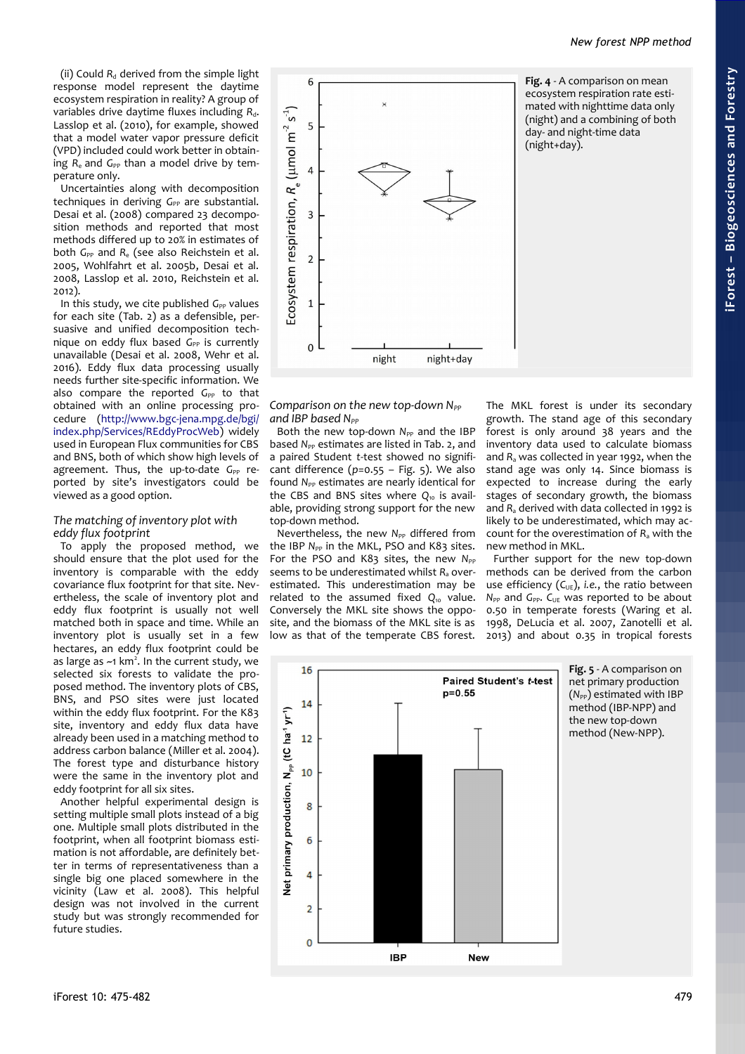(ii) Could  $R_d$  derived from the simple light response model represent the daytime ecosystem respiration in reality? A group of variables drive daytime fluxes including R<sub>d</sub>. Lasslop et al. (2010), for example, showed that a model water vapor pressure deficit (VPD) included could work better in obtaining R<sub>e</sub> and G<sub>PP</sub> than a model drive by temperature only.

Uncertainties along with decomposition techniques in deriving G<sub>PP</sub> are substantial. Desai et al. (2008) compared 23 decomposition methods and reported that most methods differed up to 20% in estimates of both *G*<sub>PP</sub> and *R*<sub>e</sub> (see also Reichstein et al. 2005, Wohlfahrt et al. 2005b, Desai et al. 2008, Lasslop et al. 2010, Reichstein et al. 2012).

In this study, we cite published G<sub>PP</sub> values for each site [\(Tab. 2\)](#page-3-0) as a defensible, persuasive and unified decomposition technique on eddy flux based G<sub>PP</sub> is currently unavailable (Desai et al. 2008, Wehr et al. 2016). Eddy flux data processing usually needs further site-specific information. We also compare the reported G<sub>PP</sub> to that obtained with an online processing procedure [\(http://www.bgc-jena.mpg.de/bgi/](http://www.bgc-jena.mpg.de/bgi/index.php/Services/REddyProcWeb) [index.php/Services/REddyProcWeb\)](http://www.bgc-jena.mpg.de/bgi/index.php/Services/REddyProcWeb) widely used in European Flux communities for CBS and BNS, both of which show high levels of agreement. Thus, the up-to-date G<sub>PP</sub> reported by site's investigators could be viewed as a good option.

## *The matching of inventory plot with eddy flux footprint*

To apply the proposed method, we should ensure that the plot used for the inventory is comparable with the eddy covariance flux footprint for that site. Nevertheless, the scale of inventory plot and eddy flux footprint is usually not well matched both in space and time. While an inventory plot is usually set in a few hectares, an eddy flux footprint could be as large as  $\sim$ 1 km<sup>2</sup>. In the current study, we selected six forests to validate the proposed method. The inventory plots of CBS, BNS, and PSO sites were just located within the eddy flux footprint. For the K83 site, inventory and eddy flux data have already been used in a matching method to address carbon balance (Miller et al. 2004). The forest type and disturbance history were the same in the inventory plot and eddy footprint for all six sites.

Another helpful experimental design is setting multiple small plots instead of a big one. Multiple small plots distributed in the footprint, when all footprint biomass estimation is not affordable, are definitely better in terms of representativeness than a single big one placed somewhere in the vicinity (Law et al. 2008). This helpful design was not involved in the current study but was strongly recommended for future studies.



<span id="page-4-0"></span>**Fig. 4** - A comparison on mean ecosystem respiration rate estimated with nighttime data only (night) and a combining of both day- and night-time data (night+day).

*Comparison on the new top-down N<sub>PP</sub></sup> and IBP based NPP*

Both the new top-down *N*<sub>PP</sub> and the IBP based *N*<sub>PP</sub> estimates are listed in [Tab. 2,](#page-3-0) and a paired Student *t*-test showed no significant difference  $(p=0.55 - Fig. 5)$  $(p=0.55 - Fig. 5)$ . We also found *N<sub>PP</sub>* estimates are nearly identical for the CBS and BNS sites where  $Q_{10}$  is available, providing strong support for the new top-down method.

Nevertheless, the new *N<sub>PP</sub>* differed from the IBP N<sub>PP</sub> in the MKL, PSO and K83 sites. For the PSO and K83 sites, the new N<sub>PP</sub> seems to be underestimated whilst *R*a overestimated. This underestimation may be related to the assumed fixed *Q*10 value. Conversely the MKL site shows the opposite, and the biomass of the MKL site is as low as that of the temperate CBS forest.

The MKL forest is under its secondary growth. The stand age of this secondary forest is only around 38 years and the inventory data used to calculate biomass and *R*a was collected in year 1992, when the stand age was only 14. Since biomass is expected to increase during the early stages of secondary growth, the biomass and *R*a derived with data collected in 1992 is likely to be underestimated, which may account for the overestimation of *R*a with the new method in MKL.

<span id="page-4-1"></span>Further support for the new top-down methods can be derived from the carbon use efficiency (C<sub>UE</sub>), *i.e.*, the ratio between *N*<sub>PP</sub> and *G*<sub>PP</sub>. *C*<sub>UE</sub> was reported to be about 0.50 in temperate forests (Waring et al. 1998, DeLucia et al. 2007, Zanotelli et al. 2013) and about 0.35 in tropical forests

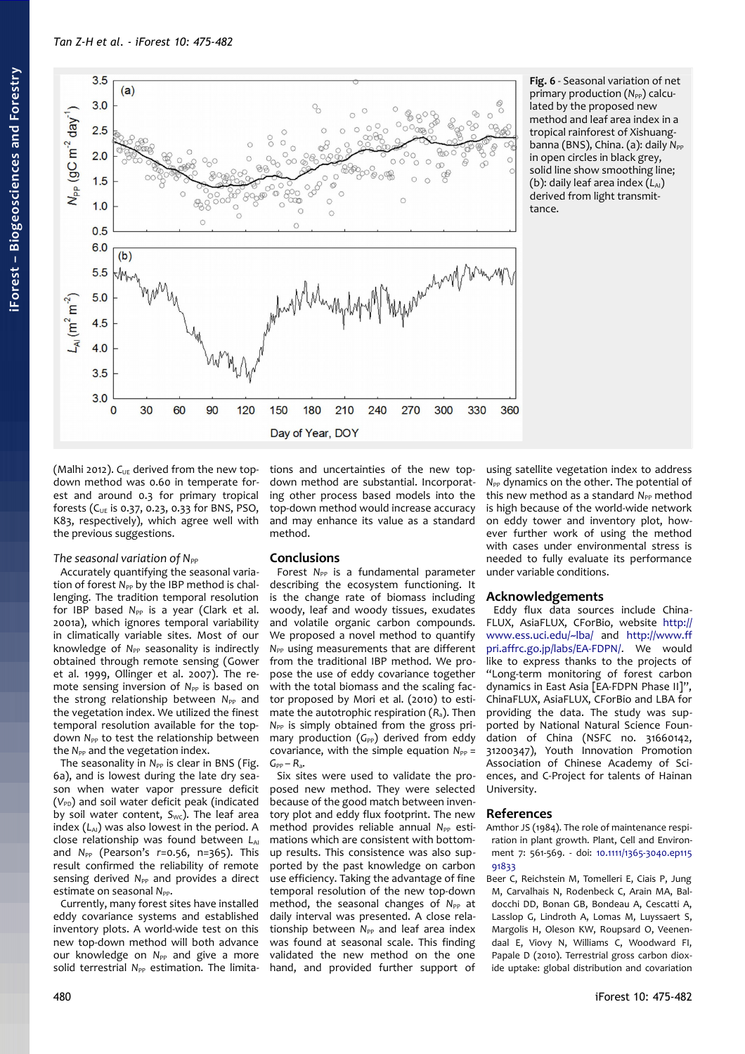

<span id="page-5-0"></span>**Fig. 6** - Seasonal variation of net primary production (N<sub>PP</sub>) calculated by the proposed new method and leaf area index in a tropical rainforest of Xishuangbanna (BNS), China. (a): daily N<sub>PP</sub> in open circles in black grey, solid line show smoothing line; (b): daily leaf area index  $(L_{Al})$ derived from light transmittance.

(Malhi 2012). C<sub>UE</sub> derived from the new topdown method was 0.60 in temperate forest and around 0.3 for primary tropical forests ( $C_{UE}$  is 0.37, 0.23, 0.33 for BNS, PSO, K83, respectively), which agree well with the previous suggestions.

### *The seasonal variation of N<sub>PP</sub></sup>*

Accurately quantifying the seasonal variation of forest N<sub>PP</sub> by the IBP method is challenging. The tradition temporal resolution for IBP based *N*<sub>PP</sub> is a year (Clark et al. 2001a), which ignores temporal variability in climatically variable sites. Most of our knowledge of *N<sub>PP</sub>* seasonality is indirectly obtained through remote sensing (Gower et al. 1999, Ollinger et al. 2007). The remote sensing inversion of *N<sub>PP</sub>* is based on the strong relationship between *N*<sub>PP</sub> and the vegetation index. We utilized the finest temporal resolution available for the topdown *N*<sub>PP</sub> to test the relationship between the *N*<sub>PP</sub> and the vegetation index.

The seasonality in *N*<sub>PP</sub> is clear in BNS [\(Fig.](#page-5-0) [6a](#page-5-0)), and is lowest during the late dry season when water vapor pressure deficit ( $V_{\text{PD}}$ ) and soil water deficit peak (indicated by soil water content, S<sub>WC</sub>). The leaf area index (LAI) was also lowest in the period. A close relationship was found between L<sub>AI</sub> and *N<sub>PP</sub>* (Pearson's *r*=0.56, n=365). This result confirmed the reliability of remote sensing derived *N*<sub>PP</sub> and provides a direct estimate on seasonal N<sub>PP</sub>.

Currently, many forest sites have installed eddy covariance systems and established inventory plots. A world-wide test on this new top-down method will both advance our knowledge on *N*<sub>PP</sub> and give a more solid terrestrial *N<sub>PP</sub>* estimation. The limitations and uncertainties of the new topdown method are substantial. Incorporating other process based models into the top-down method would increase accuracy and may enhance its value as a standard method.

## **Conclusions**

Forest N<sub>PP</sub> is a fundamental parameter describing the ecosystem functioning. It is the change rate of biomass including woody, leaf and woody tissues, exudates and volatile organic carbon compounds. We proposed a novel method to quantify *N*<sub>PP</sub> using measurements that are different from the traditional IBP method. We propose the use of eddy covariance together with the total biomass and the scaling factor proposed by Mori et al. (2010) to estimate the autotrophic respiration (*R*a). Then *N*<sup>pp</sup> is simply obtained from the gross primary production (G<sub>PP</sub>) derived from eddy covariance, with the simple equation  $N_{PP} =$ *G*PP – *R*a.

Six sites were used to validate the proposed new method. They were selected because of the good match between inventory plot and eddy flux footprint. The new method provides reliable annual *N*<sub>PP</sub> estimations which are consistent with bottomup results. This consistence was also supported by the past knowledge on carbon use efficiency. Taking the advantage of fine temporal resolution of the new top-down method, the seasonal changes of *N*<sub>PP</sub> at daily interval was presented. A close relationship between N<sub>PP</sub> and leaf area index was found at seasonal scale. This finding validated the new method on the one hand, and provided further support of

using satellite vegetation index to address *N*<sub>PP</sub> dynamics on the other. The potential of this new method as a standard *N*<sub>PP</sub> method is high because of the world-wide network on eddy tower and inventory plot, however further work of using the method with cases under environmental stress is needed to fully evaluate its performance under variable conditions.

## **Acknowledgements**

Eddy flux data sources include China-FLUX, AsiaFLUX, CForBio, website [http://](http://www.ess.uci.edu/~lba/) [www.ess.uci.edu/~lba/](http://www.ess.uci.edu/~lba/) and [http://www.ff](http://www.ffpri.affrc.go.jp/labs/EA-FDPN/) [pri.affrc.go.jp/labs/EA-FDPN/.](http://www.ffpri.affrc.go.jp/labs/EA-FDPN/) We would like to express thanks to the projects of "Long-term monitoring of forest carbon dynamics in East Asia [EA-FDPN Phase II]", ChinaFLUX, AsiaFLUX, CForBio and LBA for providing the data. The study was supported by National Natural Science Foundation of China (NSFC no. 31660142, 31200347), Youth Innovation Promotion Association of Chinese Academy of Sciences, and C-Project for talents of Hainan University.

## **References**

- Amthor JS (1984). The role of maintenance respiration in plant growth. Plant, Cell and Environment 7: 561-569. - doi: [10.1111/1365-3040.ep115](http://dx.doi.org/10.1111/1365-3040.ep11591833) [91833](http://dx.doi.org/10.1111/1365-3040.ep11591833)
- Beer C, Reichstein M, Tomelleri E, Ciais P, Jung M, Carvalhais N, Rodenbeck C, Arain MA, Baldocchi DD, Bonan GB, Bondeau A, Cescatti A, Lasslop G, Lindroth A, Lomas M, Luyssaert S, Margolis H, Oleson KW, Roupsard O, Veenendaal E, Viovy N, Williams C, Woodward FI, Papale D (2010). Terrestrial gross carbon dioxide uptake: global distribution and covariation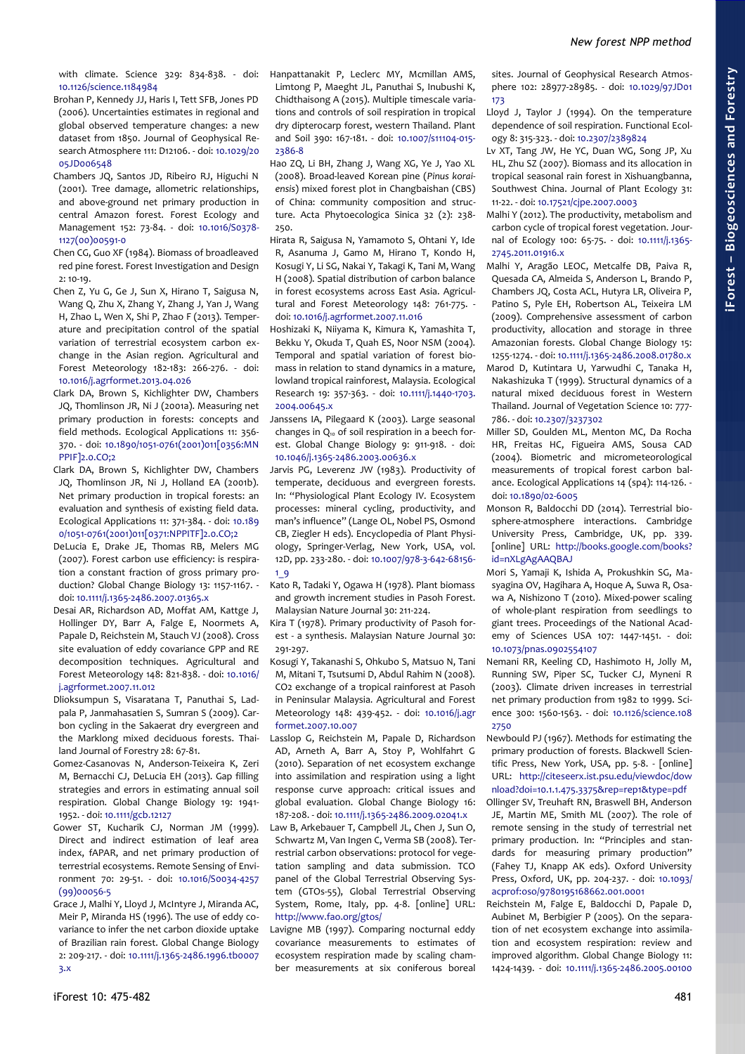with climate. Science 329: 834-838. - doi: [10.1126/science.1184984](http://dx.doi.org/10.1126/science.1184984)

- Brohan P, Kennedy JJ, Haris I, Tett SFB, Jones PD (2006). Uncertainties estimates in regional and global observed temperature changes: a new dataset from 1850. Journal of Geophysical Research Atmosphere 111: D12106. - doi: [10.1029/20](http://dx.doi.org/10.1029/2005JD006548) [05JD006548](http://dx.doi.org/10.1029/2005JD006548)
- Chambers JQ, Santos JD, Ribeiro RJ, Higuchi N (2001). Tree damage, allometric relationships, and above-ground net primary production in central Amazon forest. Forest Ecology and Management 152: 73-84. - doi: [10.1016/S0378-](http://dx.doi.org/10.1016/S0378-1127(00)00591-0) [1127\(00\)00591-0](http://dx.doi.org/10.1016/S0378-1127(00)00591-0)
- Chen CG, Guo XF (1984). Biomass of broadleaved red pine forest. Forest Investigation and Design 2: 10-19.
- Chen Z, Yu G, Ge J, Sun X, Hirano T, Saigusa N, Wang Q, Zhu X, Zhang Y, Zhang J, Yan J, Wang H, Zhao L, Wen X, Shi P, Zhao F (2013). Temperature and precipitation control of the spatial variation of terrestrial ecosystem carbon exchange in the Asian region. Agricultural and Forest Meteorology 182-183: 266-276. - doi: [10.1016/j.agrformet.2013.04.026](http://dx.doi.org/10.1016/j.agrformet.2013.04.026)
- Clark DA, Brown S, Kichlighter DW, Chambers JQ, Thomlinson JR, Ni J (2001a). Measuring net primary production in forests: concepts and field methods. Ecological Applications 11: 356- 370. - doi: [10.1890/1051-0761\(2001\)011\[0356:MN](http://dx.doi.org/10.1890/1051-0761(2001)011%5B0356:MNPPIF%5D2.0.CO;2) [PPIF\]2.0.CO;2](http://dx.doi.org/10.1890/1051-0761(2001)011%5B0356:MNPPIF%5D2.0.CO;2)
- Clark DA, Brown S, Kichlighter DW, Chambers JQ, Thomlinson JR, Ni J, Holland EA (2001b). Net primary production in tropical forests: an evaluation and synthesis of existing field data. Ecological Applications 11: 371-384. - doi: [10.189](http://dx.doi.org/10.1890/1051-0761(2001)011%5B0371:NPPITF%5D2.0.CO;2) [0/1051-0761\(2001\)011\[0371:NPPITF\]2.0.CO;2](http://dx.doi.org/10.1890/1051-0761(2001)011%5B0371:NPPITF%5D2.0.CO;2)
- DeLucia E, Drake JE, Thomas RB, Melers MG (2007). Forest carbon use efficiency: is respiration a constant fraction of gross primary production? Global Change Biology 13: 1157-1167. doi: [10.1111/j.1365-2486.2007.01365.x](http://dx.doi.org/10.1111/j.1365-2486.2007.01365.x)
- Desai AR, Richardson AD, Moffat AM, Kattge J, Hollinger DY, Barr A, Falge E, Noormets A, Papale D, Reichstein M, Stauch VJ (2008). Cross site evaluation of eddy covariance GPP and RE decomposition techniques. Agricultural and Forest Meteorology 148: 821-838. - doi: [10.1016/](http://dx.doi.org/10.1016/j.agrformet.2007.11.012) [j.agrformet.2007.11.012](http://dx.doi.org/10.1016/j.agrformet.2007.11.012)
- Dlioksumpun S, Visaratana T, Panuthai S, Ladpala P, Janmahasatien S, Sumran S (2009). Carbon cycling in the Sakaerat dry evergreen and the Marklong mixed deciduous forests. Thailand Journal of Forestry 28: 67-81.
- Gomez-Casanovas N, Anderson-Teixeira K, Zeri M, Bernacchi CJ, DeLucia EH (2013). Gap filling strategies and errors in estimating annual soil respiration. Global Change Biology 19: 1941- 1952. - doi: [10.1111/gcb.12127](http://dx.doi.org/10.1111/gcb.12127)
- Gower ST, Kucharik CJ, Norman JM (1999). Direct and indirect estimation of leaf area index, fAPAR, and net primary production of terrestrial ecosystems. Remote Sensing of Environment 70: 29-51. - doi: [10.1016/S0034-4257](http://dx.doi.org/10.1016/S0034-4257(99)00056-5) [\(99\)00056-5](http://dx.doi.org/10.1016/S0034-4257(99)00056-5)
- Grace J, Malhi Y, Lloyd J, McIntyre J, Miranda AC, Meir P, Miranda HS (1996). The use of eddy covariance to infer the net carbon dioxide uptake of Brazilian rain forest. Global Change Biology 2: 209-217. - doi: [10.1111/j.1365-2486.1996.tb0007](http://dx.doi.org/10.1111/j.1365-2486.1996.tb00073.x) [3.x](http://dx.doi.org/10.1111/j.1365-2486.1996.tb00073.x)

Hao ZQ, Li BH, Zhang J, Wang XG, Ye J, Yao XL (2008). Broad-leaved Korean pine (*Pinus koraiensis*) mixed forest plot in Changbaishan (CBS) of China: community composition and structure. Acta Phytoecologica Sinica 32 (2): 238- 250.

Hirata R, Saigusa N, Yamamoto S, Ohtani Y, Ide R, Asanuma J, Gamo M, Hirano T, Kondo H, Kosugi Y, Li SG, Nakai Y, Takagi K, Tani M, Wang H (2008). Spatial distribution of carbon balance in forest ecosystems across East Asia. Agricultural and Forest Meteorology 148: 761-775. doi: [10.1016/j.agrformet.2007.11.016](http://dx.doi.org/10.1016/j.agrformet.2007.11.016)

Hoshizaki K, Niiyama K, Kimura K, Yamashita T, Bekku Y, Okuda T, Quah ES, Noor NSM (2004). Temporal and spatial variation of forest biomass in relation to stand dynamics in a mature, lowland tropical rainforest, Malaysia. Ecological Research 19: 357-363. - doi: [10.1111/j.1440-1703.](http://dx.doi.org/10.1111/j.1440-1703.2004.00645.x) [2004.00645.x](http://dx.doi.org/10.1111/j.1440-1703.2004.00645.x)

Janssens IA, Pilegaard K (2003). Large seasonal changes in  $Q_{10}$  of soil respiration in a beech forest. Global Change Biology 9: 911-918. - doi: [10.1046/j.1365-2486.2003.00636.x](http://dx.doi.org/10.1046/j.1365-2486.2003.00636.x)

Jarvis PG, Leverenz JW (1983). Productivity of temperate, deciduous and evergreen forests. In: "Physiological Plant Ecology IV. Ecosystem processes: mineral cycling, productivity, and man's influence" (Lange OL, Nobel PS, Osmond CB, Ziegler H eds). Encyclopedia of Plant Physiology, Springer-Verlag, New York, USA, vol. 12D, pp. 233-280. - doi: [10.1007/978-3-642-68156-](http://dx.doi.org/10.1007/978-3-642-68156-1_9) [1\\_9](http://dx.doi.org/10.1007/978-3-642-68156-1_9)

Kato R, Tadaki Y, Ogawa H (1978). Plant biomass and growth increment studies in Pasoh Forest. Malaysian Nature Journal 30: 211-224.

Kira T (1978). Primary productivity of Pasoh forest - a synthesis. Malaysian Nature Journal 30: 291-297.

Kosugi Y, Takanashi S, Ohkubo S, Matsuo N, Tani M, Mitani T, Tsutsumi D, Abdul Rahim N (2008). CO2 exchange of a tropical rainforest at Pasoh in Peninsular Malaysia. Agricultural and Forest Meteorology 148: 439-452. - doi: [10.1016/j.agr](http://dx.doi.org/10.1016/j.agrformet.2007.10.007) [formet.2007.10.007](http://dx.doi.org/10.1016/j.agrformet.2007.10.007)

Lasslop G, Reichstein M, Papale D, Richardson AD, Arneth A, Barr A, Stoy P, Wohlfahrt G (2010). Separation of net ecosystem exchange into assimilation and respiration using a light response curve approach: critical issues and global evaluation. Global Change Biology 16: 187-208. - doi: [10.1111/j.1365-2486.2009.02041.x](http://dx.doi.org/10.1111/j.1365-2486.2009.02041.x)

Law B, Arkebauer T, Campbell JL, Chen J, Sun O, Schwartz M, Van Ingen C, Verma SB (2008). Terrestrial carbon observations: protocol for vegetation sampling and data submission. TCO panel of the Global Terrestrial Observing System (GTOs-55), Global Terrestrial Observing System, Rome, Italy, pp. 4-8. [online] URL: <http://www.fao.org/gtos/>

Lavigne MB (1997). Comparing nocturnal eddy covariance measurements to estimates of ecosystem respiration made by scaling chamber measurements at six coniferous boreal sites. Journal of Geophysical Research Atmosphere 102: 28977-28985. - doi: [10.1029/97JD01](http://dx.doi.org/10.1029/97JD01173) [173](http://dx.doi.org/10.1029/97JD01173)

- Lloyd J, Taylor J (1994). On the temperature dependence of soil respiration. Functional Ecology 8: 315-323. - doi: [10.2307/2389824](http://dx.doi.org/10.2307/2389824)
- Lv XT, Tang JW, He YC, Duan WG, Song JP, Xu HL, Zhu SZ (2007). Biomass and its allocation in tropical seasonal rain forest in Xishuangbanna, Southwest China. Journal of Plant Ecology 31: 11-22. - doi: [10.17521/cjpe.2007.0003](http://dx.doi.org/10.17521/cjpe.2007.0003)
- Malhi Y (2012). The productivity, metabolism and carbon cycle of tropical forest vegetation. Journal of Ecology 100: 65-75. - doi: [10.1111/j.1365-](http://dx.doi.org/10.1111/j.1365-2745.2011.01916.x) [2745.2011.01916.x](http://dx.doi.org/10.1111/j.1365-2745.2011.01916.x)
- Malhi Y, Aragão LEOC, Metcalfe DB, Paiva R, Quesada CA, Almeida S, Anderson L, Brando P, Chambers JQ, Costa ACL, Hutyra LR, Oliveira P, Patino S, Pyle EH, Robertson AL, Teixeira LM (2009). Comprehensive assessment of carbon productivity, allocation and storage in three Amazonian forests. Global Change Biology 15: 1255-1274. - doi: [10.1111/j.1365-2486.2008.01780.x](http://dx.doi.org/10.1111/j.1365-2486.2008.01780.x)
- Marod D, Kutintara U, Yarwudhi C, Tanaka H, Nakashizuka T (1999). Structural dynamics of a natural mixed deciduous forest in Western Thailand. Journal of Vegetation Science 10: 777- 786. - doi: [10.2307/3237302](http://dx.doi.org/10.2307/3237302)
- Miller SD, Goulden ML, Menton MC, Da Rocha HR, Freitas HC, Figueira AMS, Sousa CAD (2004). Biometric and micrometeorological measurements of tropical forest carbon balance. Ecological Applications 14 (sp4): 114-126. doi: [10.1890/02-6005](http://dx.doi.org/10.1890/02-6005)
- Monson R, Baldocchi DD (2014). Terrestrial biosphere-atmosphere interactions. Cambridge University Press, Cambridge, UK, pp. 339. [online] URL: [http://books.google.com/books?](http://books.google.com/books?id=nXLgAgAAQBAJ) [id=nXLgAgAAQBAJ](http://books.google.com/books?id=nXLgAgAAQBAJ)
- Mori S, Yamaji K, Ishida A, Prokushkin SG, Masyagina OV, Hagihara A, Hoque A, Suwa R, Osawa A, Nishizono T (2010). Mixed-power scaling of whole-plant respiration from seedlings to giant trees. Proceedings of the National Academy of Sciences USA 107: 1447-1451. - doi: [10.1073/pnas.0902554107](http://dx.doi.org/10.1073/pnas.0902554107)
- Nemani RR, Keeling CD, Hashimoto H, Jolly M, Running SW, Piper SC, Tucker CJ, Myneni R (2003). Climate driven increases in terrestrial net primary production from 1982 to 1999. Science 300: 1560-1563. - doi: [10.1126/science.108](http://dx.doi.org/10.1126/science.1082750) [2750](http://dx.doi.org/10.1126/science.1082750)
- Newbould PJ (1967). Methods for estimating the primary production of forests. Blackwell Scientific Press, New York, USA, pp. 5-8. - [online] URL: [http://citeseerx.ist.psu.edu/viewdoc/dow](http://citeseerx.ist.psu.edu/viewdoc/download?doi=10.1.1.475.3375&rep=rep1&type=pdf) [nload?doi=10.1.1.475.3375&rep=rep1&type=pdf](http://citeseerx.ist.psu.edu/viewdoc/download?doi=10.1.1.475.3375&rep=rep1&type=pdf)
- Ollinger SV, Treuhaft RN, Braswell BH, Anderson JE, Martin ME, Smith ML (2007). The role of remote sensing in the study of terrestrial net primary production. In: "Principles and standards for measuring primary production" (Fahey TJ, Knapp AK eds). Oxford University Press, Oxford, UK, pp. 204-237. - doi: [10.1093/](http://dx.doi.org/10.1093/acprof:oso/9780195168662.001.0001) [acprof:oso/9780195168662.001.0001](http://dx.doi.org/10.1093/acprof:oso/9780195168662.001.0001)
- Reichstein M, Falge E, Baldocchi D, Papale D, Aubinet M, Berbigier P (2005). On the separation of net ecosystem exchange into assimilation and ecosystem respiration: review and improved algorithm. Global Change Biology 11: 1424-1439. - doi: [10.1111/j.1365-2486.2005.00100](http://dx.doi.org/10.1111/j.1365-2486.2005.001002.x)